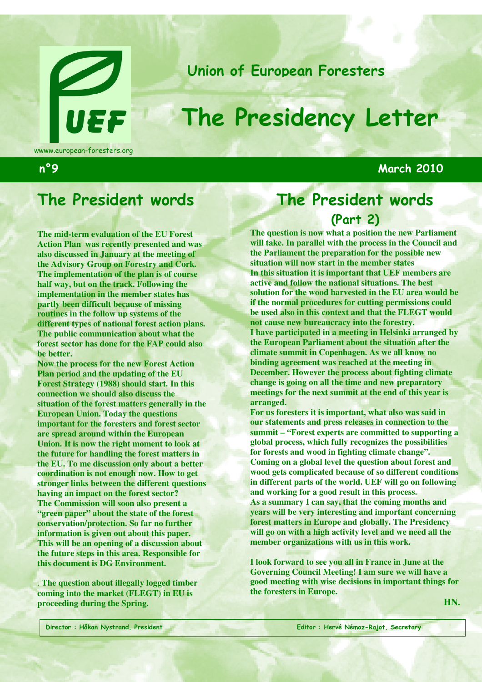

Union of European Foresters

# The Presidency Letter

wwww.european-foresters.org

n°9 March 2010

# The President words

**The mid-term evaluation of the EU Forest Action Plan was recently presented and was also discussed in January at the meeting of the Advisory Group on Forestry and Cork. The implementation of the plan is of course half way, but on the track. Following the implementation in the member states has partly been difficult because of missing routines in the follow up systems of the different types of national forest action plans. The public communication about what the forest sector has done for the FAP could also be better.** 

**Now the process for the new Forest Action Plan period and the updating of the EU Forest Strategy (1988) should start. In this connection we should also discuss the situation of the forest matters generally in the European Union. Today the questions important for the foresters and forest sector are spread around within the European Union. It is now the right moment to look at the future for handling the forest matters in the EU. To me discussion only about a better coordination is not enough now. How to get stronger links between the different questions having an impact on the forest sector? The Commission will soon also present a "green paper" about the state of the forest conservation/protection. So far no further information is given out about this paper. This will be an opening of a discussion about the future steps in this area. Responsible for this document is DG Environment.** 

. **The question about illegally logged timber coming into the market (FLEGT) in EU is proceeding during the Spring.**

# The President words (Part 2)

**The question is now what a position the new Parliament will take. In parallel with the process in the Council and the Parliament the preparation for the possible new situation will now start in the member states In this situation it is important that UEF members are active and follow the national situations. The best solution for the wood harvested in the EU area would be if the normal procedures for cutting permissions could be used also in this context and that the FLEGT would not cause new bureaucracy into the forestry. I have participated in a meeting in Helsinki arranged by the European Parliament about the situation after the climate summit in Copenhagen. As we all know no binding agreement was reached at the meeting in December. However the process about fighting climate change is going on all the time and new preparatory meetings for the next summit at the end of this year is arranged.** 

**For us foresters it is important, what also was said in our statements and press releases in connection to the summit – "Forest experts are committed to supporting a global process, which fully recognizes the possibilities for forests and wood in fighting climate change". Coming on a global level the question about forest and wood gets complicated because of so different conditions in different parts of the world. UEF will go on following and working for a good result in this process. As a summary I can say, that the coming months and** 

**years will be very interesting and important concerning forest matters in Europe and globally. The Presidency will go on with a high activity level and we need all the member organizations with us in this work.** 

**I look forward to see you all in France in June at the Governing Council Meeting! I am sure we will have a good meeting with wise decisions in important things for the foresters in Europe.**

**HN.**